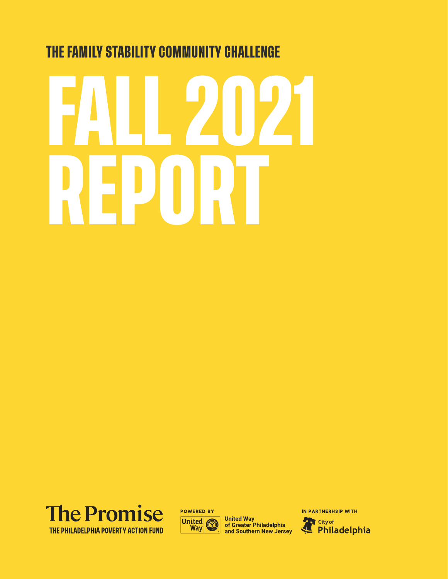# **FALL 2021 REPORT THE FAMILY STABILITY COMMUNITY CHALLENGE**





**United Way** of Greater Philadelphia and Southern New Jersey IN PARTNERHSIP WITH Æ City of 4 Philadelphia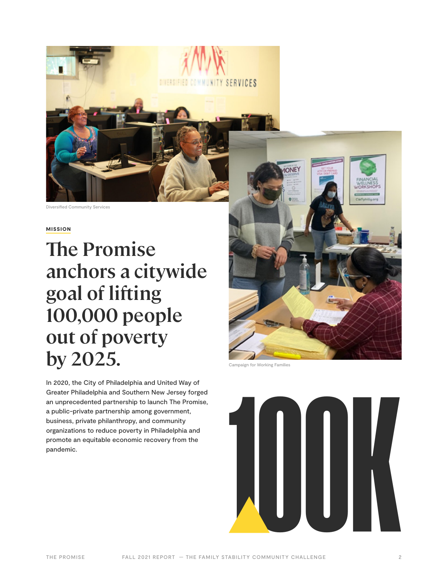

### MISSION

# **The Promise anchors a citywide goal of lifting 100,000 people out of poverty by 2025.**

In 2020, the City of Philadelphia and United Way of Greater Philadelphia and Southern New Jersey forged an unprecedented partnership to launch The Promise, a public-private partnership among government, business, private philanthropy, and community organizations to reduce poverty in Philadelphia and promote an equitable economic recovery from the



Campaign for Working Families



**THEITHEI COMMO** 

**TY SERVICES**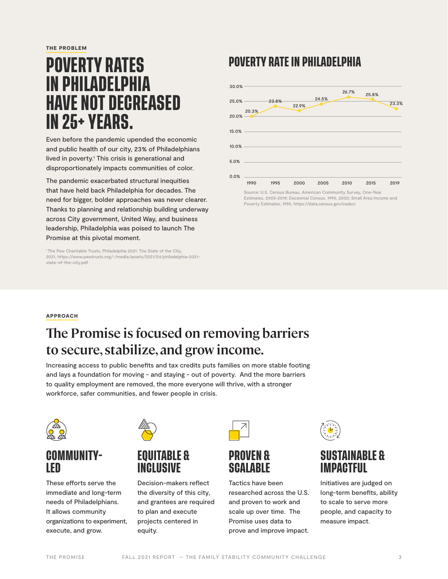THE PROBLEM

# **POVERTY RATES IN PHILADELPHIA HAVE NOT DECREASED IN 25+ YEARS.**

Even before the pandemic upended the economic and public health of our city, 23% of Philadelphians lived in poverty.<sup>1</sup> This crisis is generational and disproportionately impacts communities of color.

The pandemic exacerbated structural inequities that have held back Philadelphia for decades. The need for bigger, bolder approaches was never clearer. Thanks to planning and relationship building underway across City government, United Way, and business leadership, Philadelphia was poised to launch The Promise at this pivotal moment.

<sup>1</sup> The Pew Charitable Trusts, Philadelphia 2021: The State of the City, 2021, https://www.pewtrusts.org/-/media/assets/2021/04/philadelphia-2021 state-of-the-city.pdf

# **POVERTY RATE IN PHILADELPHIA**



Estimates, 2005-2019; Decennial Census, 1990, 2000; Small Area Income and Poverty Estimates, 1995, https://data.census.gov/cedsci

### APPROACH

# **The Promise is focused on removing barriers to secure, stabilize, and grow income.**

Increasing access to public benefits and tax credits puts families on more stable footing and lays a foundation for moving - and staying - out of poverty. And the more barriers to quality employment are removed, the more everyone will thrive, with a stronger workforce, safer communities, and fewer people in crisis.



# **COMMUNITY-LED**

These efforts serve the immediate and long-term needs of Philadelphians. It allows community organizations to experiment, execute, and grow.



# **EQUITABLE & INCLUSIVE**

Decision-makers reflect the diversity of this city, and grantees are required to plan and execute projects centered in equity.



# **PROVEN & SCALABLE**

Tactics have been researched across the U.S. and proven to work and scale up over time. The Promise uses data to prove and improve impact.



# **SUSTAINABLE & IMPACTFUL**

Initiatives are judged on long-term benefits, ability to scale to serve more people, and capacity to measure impact.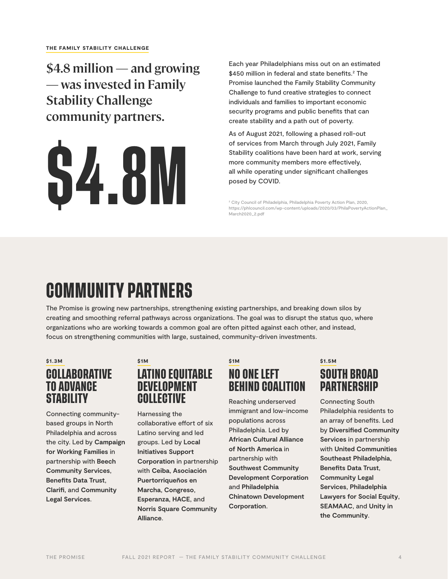**\$4.8 million — and growing — was invested in Family Stability Challenge community partners.**



Each year Philadelphians miss out on an estimated \$450 million in federal and state benefits.2 The Promise launched the Family Stability Community Challenge to fund creative strategies to connect individuals and families to important economic security programs and public benefits that can create stability and a path out of poverty.

As of August 2021, following a phased roll-out of services from March through July 2021, Family Stability coalitions have been hard at work, serving more community members more effectively, all while operating under significant challenges posed by COVID.

<sup>2</sup> City Council of Philadelphia, Philadelphia Poverty Action Plan, 2020, https://phlcouncil.com/wp-content/uploads/2020/03/PhilaPovertyActionPlan\_ March2020\_2.pdf

# **COMMUNITY PARTNERS**

The Promise is growing new partnerships, strengthening existing partnerships, and breaking down silos by creating and smoothing referral pathways across organizations. The goal was to disrupt the status quo, where organizations who are working towards a common goal are often pitted against each other, and instead, focus on strengthening communities with large, sustained, community-driven investments.

\$1.3M

# **COLLABORATIVE TO ADVANCE STABILITY**

Connecting communitybased groups in North Philadelphia and across the city. Led by **Campaign for Working Families** in partnership with **Beech Community Services**, **Benefits Data Trust**, **Clarifi**, and **Community Legal Services**.

### \$1M **LATINO EQUITABLE DEVELOPMENT COLLECTIVE**

Harnessing the collaborative effort of six Latino serving and led groups. Led by **Local Initiatives Support Corporation** in partnership with **Ceiba**, **Asociación Puertorriqueños en Marcha**, **Congreso**, **Esperanza**, **HACE**, and **Norris Square Community Alliance**.

# \$1M **NO ONE LEFT BEHIND COALITION**

Reaching underserved immigrant and low-income populations across Philadelphia. Led by **African Cultural Alliance of North America** in partnership with **Southwest Community Development Corporation** and **Philadelphia Chinatown Development Corporation**.

### \$1.5M **SOUTH BROAD PARTNERSHIP**

Connecting South Philadelphia residents to an array of benefits. Led by **Diversified Community Services** in partnership with **United Communities Southeast Philadelphia**, **Benefits Data Trust**, **Community Legal Services**, **Philadelphia Lawyers for Social Equity**, **SEAMAAC**, and **Unity in the Community**.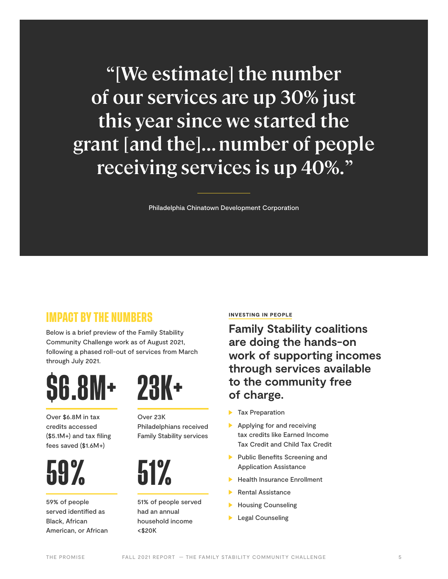**"[We estimate] the number of our services are up 30% just this year since we started the grant [and the]... number of people receiving services is up 40%. "**

Philadelphia Chinatown Development Corporation

# **IMPACT BY THE NUMBERS**

Below is a brief preview of the Family Stability Community Challenge work as of August 2021, following a phased roll-out of services from March through July 2021.

# **\$6.8M+**

Over \$6.8M in tax credits accessed (\$5.1M+) and tax filing fees saved (\$1.6M+)



59% of people served identified as Black, African American, or African

# **23K+**

Over 23K Philadelphians received Family Stability services



51% of people served had an annual household income <\$20K

### INVESTING IN PEOPLE

**Family Stability coalitions are doing the hands-on work of supporting incomes through services available to the community free of charge.**

- $\blacktriangleright$  Tax Preparation
- Applying for and receiving tax credits like Earned Income Tax Credit and Child Tax Credit
- **Public Benefits Screening and** Application Assistance
- Health Insurance Enrollment
- Rental Assistance
- **Housing Counseling**
- **Legal Counseling**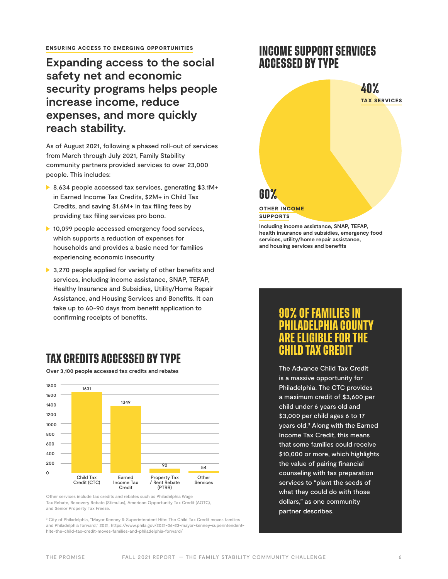#### ENSURING ACCESS TO EMERGING OPPORTUNITIES

# **Expanding access to the social safety net and economic security programs helps people increase income, reduce expenses, and more quickly reach stability.**

As of August 2021, following a phased roll-out of services from March through July 2021, Family Stability community partners provided services to over 23,000 people. This includes:

- ▶ 8,634 people accessed tax services, generating \$3.1M+ in Earned Income Tax Credits, \$2M+ in Child Tax Credits, and saving \$1.6M+ in tax filing fees by providing tax filing services pro bono.
- ▶ 10,099 people accessed emergency food services, which supports a reduction of expenses for households and provides a basic need for families experiencing economic insecurity
- ▶ 3,270 people applied for variety of other benefits and services, including income assistance, SNAP, TEFAP, Healthy Insurance and Subsidies, Utility/Home Repair Assistance, and Housing Services and Benefits. It can take up to 60-90 days from benefit application to confirming receipts of benefits.

# **TAX CREDITS ACCESSED BY TYPE**

**Over 3,100 people accessed tax credits and rebates**



Other services include tax credits and rebates such as Philadelphia Wage Tax Rebate, Recovery Rebate (Stimulus), American Opportunity Tax Credit (AOTC), and Senior Property Tax Freeze.

<sup>3</sup> City of Philadelphia, "Mayor Kenney & Superintendent Hite: The Child Tax Credit moves families and Philadelphia forward," 2021, https://www.phila.gov/2021-06-23-mayor-kenney-superintendenthite-the-child-tax-credit-moves-families-and-philadelphia-forward/

# **INCOME SUPPORT SERVICES ACCESSED BY TYPE**



**Including income assistance, SNAP, TEFAP, health insurance and subsidies, emergency food services, utility/home repair assistance, and housing services and benefits**

# **PHILADELPHIA COUNTY ARE ELIGIBLE FOR THE CHILD TAX CREDIT**

The Advance Child Tax Credit is a massive opportunity for Philadelphia. The CTC provides a maximum credit of \$3,600 per child under 6 years old and \$3,000 per child ages 6 to 17 years old.3 Along with the Earned Income Tax Credit, this means that some families could receive \$10,000 or more, which highlights the value of pairing financial counseling with tax preparation services to "plant the seeds of what they could do with those dollars," as one community partner describes.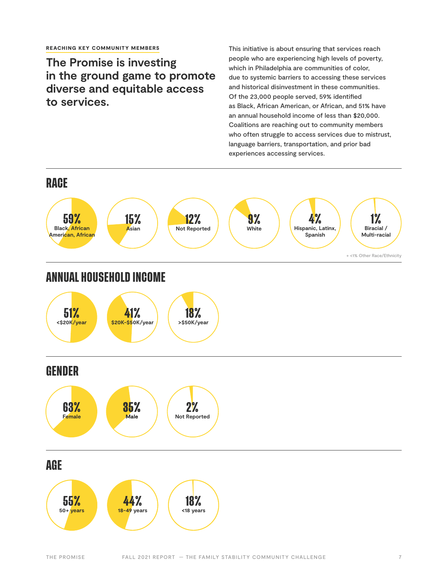### **The Promise is investing in the ground game to promote diverse and equitable access to services.**

This initiative is about ensuring that services reach people who are experiencing high levels of poverty, which in Philadelphia are communities of color, due to systemic barriers to accessing these services and historical disinvestment in these communities. Of the 23,000 people served, 59% identified as Black, African American, or African, and 51% have an annual household income of less than \$20,000. Coalitions are reaching out to community members who often struggle to access services due to mistrust, language barriers, transportation, and prior bad experiences accessing services.

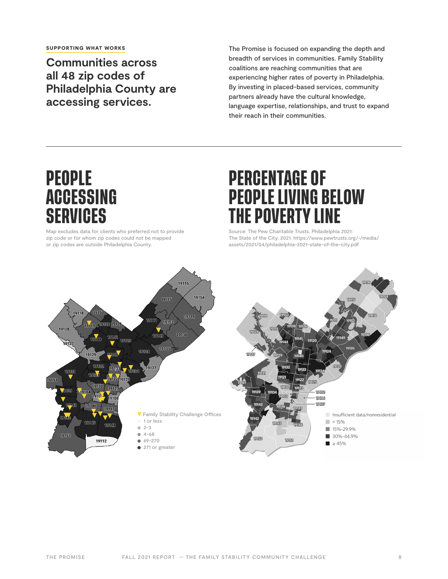**Communities across all 48 zip codes of Philadelphia County are accessing services.** 

The Promise is focused on expanding the depth and breadth of services in communities. Family Stability coalitions are reaching communities that are experiencing higher rates of poverty in Philadelphia. By investing in placed-based services, community partners already have the cultural knowledge, language expertise, relationships, and trust to expand their reach in their communities.

# **PEOPLE ACCESSING SERVICES**

Map excludes data for clients who preferred not to provide zip code or for whom zip codes could not be mapped or zip codes are outside Philadelphia County.

# **PERCENTAGE OF PEOPLE LIVING BELOW THE POVERTY LINE**

Source: The Pew Charitable Trusts, Philadelphia 2021: The State of the City, 2021. https://www.pewtrusts.org/-/media/ assets/2021/04/philadelphia-2021-state-of-the-city.pdf

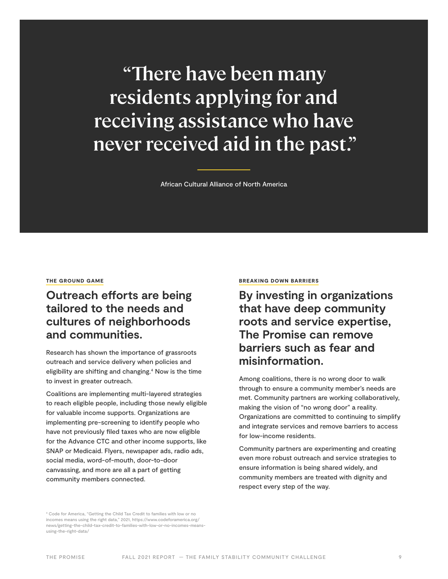**"There have been many residents applying for and receiving assistance who have never received aid in the past."** 

African Cultural Alliance of North America

### THE GROUND GAME

# **Outreach efforts are being tailored to the needs and cultures of neighborhoods and communities.**

Research has shown the importance of grassroots outreach and service delivery when policies and eligibility are shifting and changing.<sup>4</sup> Now is the time to invest in greater outreach.

Coalitions are implementing multi-layered strategies to reach eligible people, including those newly eligible for valuable income supports. Organizations are implementing pre-screening to identify people who have not previously filed taxes who are now eligible for the Advance CTC and other income supports, like SNAP or Medicaid. Flyers, newspaper ads, radio ads, social media, word-of-mouth, door-to-door canvassing, and more are all a part of getting community members connected.

#### BREAKING DOWN BARRIERS

**By investing in organizations that have deep community roots and service expertise, The Promise can remove barriers such as fear and misinformation.** 

Among coalitions, there is no wrong door to walk through to ensure a community member's needs are met. Community partners are working collaboratively, making the vision of "no wrong door" a reality. Organizations are committed to continuing to simplify and integrate services and remove barriers to access for low-income residents.

Community partners are experimenting and creating even more robust outreach and service strategies to ensure information is being shared widely, and community members are treated with dignity and respect every step of the way.

4 Code for America, "Getting the Child Tax Credit to families with low or no incomes means using the right data," 2021, https://www.codeforamerica.org/ news/getting-the-child-tax-credit-to-families-with-low-or-no-incomes-meansusing-the-right-data/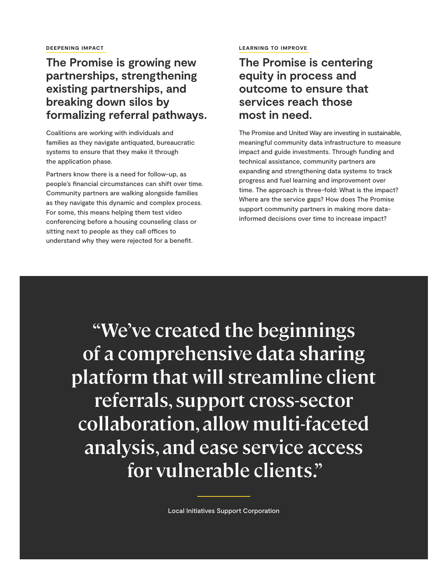# **The Promise is growing new partnerships, strengthening existing partnerships, and breaking down silos by formalizing referral pathways.**

Coalitions are working with individuals and families as they navigate antiquated, bureaucratic systems to ensure that they make it through the application phase.

Partners know there is a need for follow-up, as people's financial circumstances can shift over time. Community partners are walking alongside families as they navigate this dynamic and complex process. For some, this means helping them test video conferencing before a housing counseling class or sitting next to people as they call offices to understand why they were rejected for a benefit.

### LEARNING TO IMPROVE

**The Promise is centering equity in process and outcome to ensure that services reach those most in need.** 

The Promise and United Way are investing in sustainable, meaningful community data infrastructure to measure impact and guide investments. Through funding and technical assistance, community partners are expanding and strengthening data systems to track progress and fuel learning and improvement over time. The approach is three-fold: What is the impact? Where are the service gaps? How does The Promise support community partners in making more datainformed decisions over time to increase impact?

**"We've created the beginnings of a comprehensive data sharing platform that will streamline client referrals, support cross-sector collaboration, allow multi-faceted analysis, and ease service access for vulnerable clients."** 

Local Initiatives Support Corporation